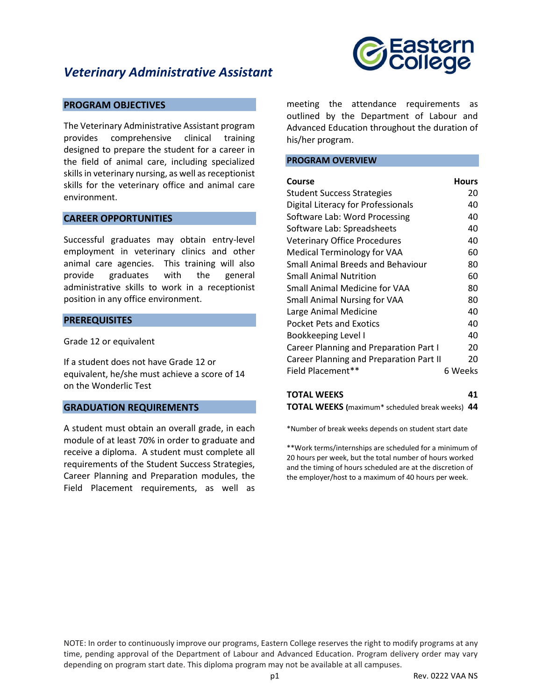

### **PROGRAM OBJECTIVES**

The Veterinary Administrative Assistant program provides comprehensive clinical training designed to prepare the student for a career in the field of animal care, including specialized skills in veterinary nursing, as well as receptionist skills for the veterinary office and animal care environment.

### **CAREER OPPORTUNITIES**

Successful graduates may obtain entry-level employment in veterinary clinics and other animal care agencies. This training will also provide graduates with the general administrative skills to work in a receptionist position in any office environment.

### **PREREQUISITES**

Grade 12 or equivalent

If a student does not have Grade 12 or equivalent, he/she must achieve a score of 14 on the Wonderlic Test

### **GRADUATION REQUIREMENTS**

A student must obtain an overall grade, in each module of at least 70% in order to graduate and receive a diploma. A student must complete all requirements of the Student Success Strategies, Career Planning and Preparation modules, the Field Placement requirements, as well as meeting the attendance requirements as outlined by the Department of Labour and Advanced Education throughout the duration of his/her program.

### **PROGRAM OVERVIEW**

| Course                                   | <b>Hours</b> |
|------------------------------------------|--------------|
| <b>Student Success Strategies</b>        | 20           |
| Digital Literacy for Professionals       | 40           |
| Software Lab: Word Processing            | 40           |
| Software Lab: Spreadsheets               | 40           |
| <b>Veterinary Office Procedures</b>      | 40           |
| <b>Medical Terminology for VAA</b>       | 60           |
| <b>Small Animal Breeds and Behaviour</b> | 80           |
| <b>Small Animal Nutrition</b>            | 60           |
| Small Animal Medicine for VAA            | 80           |
| Small Animal Nursing for VAA             | 80           |
| Large Animal Medicine                    | 40           |
| <b>Pocket Pets and Exotics</b>           | 40           |
| Bookkeeping Level I                      | 40           |
| Career Planning and Preparation Part I   | 20           |
| Career Planning and Preparation Part II  | 20           |
| Field Placement**                        | 6 Weeks      |

| TOTAL WEEKS                                            | 41 |
|--------------------------------------------------------|----|
| <b>TOTAL WEEKS</b> (maximum* scheduled break weeks) 44 |    |

\*Number of break weeks depends on student start date

\*\*Work terms/internships are scheduled for a minimum of 20 hours per week, but the total number of hours worked and the timing of hours scheduled are at the discretion of the employer/host to a maximum of 40 hours per week.

NOTE: In order to continuously improve our programs, Eastern College reserves the right to modify programs at any time, pending approval of the Department of Labour and Advanced Education. Program delivery order may vary depending on program start date. This diploma program may not be available at all campuses.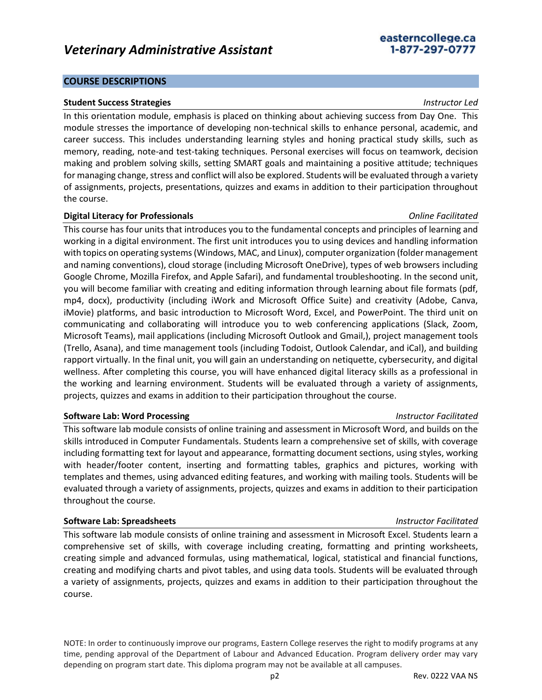### **COURSE DESCRIPTIONS**

### **Student Success Strategies** *Instructor Led*

In this orientation module, emphasis is placed on thinking about achieving success from Day One. This module stresses the importance of developing non-technical skills to enhance personal, academic, and career success. This includes understanding learning styles and honing practical study skills, such as memory, reading, note-and test-taking techniques. Personal exercises will focus on teamwork, decision making and problem solving skills, setting SMART goals and maintaining a positive attitude; techniques for managing change, stress and conflict will also be explored. Students will be evaluated through a variety of assignments, projects, presentations, quizzes and exams in addition to their participation throughout the course.

### **Digital Literacy for Professionals** *Online Facilitated*

This course has four units that introduces you to the fundamental concepts and principles of learning and working in a digital environment. The first unit introduces you to using devices and handling information with topics on operating systems (Windows, MAC, and Linux), computer organization (folder management and naming conventions), cloud storage (including Microsoft OneDrive), types of web browsers including Google Chrome, Mozilla Firefox, and Apple Safari), and fundamental troubleshooting. In the second unit, you will become familiar with creating and editing information through learning about file formats (pdf, mp4, docx), productivity (including iWork and Microsoft Office Suite) and creativity (Adobe, Canva, iMovie) platforms, and basic introduction to Microsoft Word, Excel, and PowerPoint. The third unit on communicating and collaborating will introduce you to web conferencing applications (Slack, Zoom, Microsoft Teams), mail applications (including Microsoft Outlook and Gmail,), project management tools (Trello, Asana), and time management tools (including Todoist, Outlook Calendar, and iCal), and building rapport virtually. In the final unit, you will gain an understanding on netiquette, cybersecurity, and digital wellness. After completing this course, you will have enhanced digital literacy skills as a professional in the working and learning environment. Students will be evaluated through a variety of assignments, projects, quizzes and exams in addition to their participation throughout the course.

### **Software Lab: Word Processing** *Instructor Facilitated*

This software lab module consists of online training and assessment in Microsoft Word, and builds on the skills introduced in Computer Fundamentals. Students learn a comprehensive set of skills, with coverage including formatting text for layout and appearance, formatting document sections, using styles, working with header/footer content, inserting and formatting tables, graphics and pictures, working with templates and themes, using advanced editing features, and working with mailing tools. Students will be evaluated through a variety of assignments, projects, quizzes and exams in addition to their participation throughout the course.

### **Software Lab: Spreadsheets** *Instructor Facilitated*

This software lab module consists of online training and assessment in Microsoft Excel. Students learn a comprehensive set of skills, with coverage including creating, formatting and printing worksheets, creating simple and advanced formulas, using mathematical, logical, statistical and financial functions, creating and modifying charts and pivot tables, and using data tools. Students will be evaluated through a variety of assignments, projects, quizzes and exams in addition to their participation throughout the course.

NOTE: In order to continuously improve our programs, Eastern College reserves the right to modify programs at any time, pending approval of the Department of Labour and Advanced Education. Program delivery order may vary depending on program start date. This diploma program may not be available at all campuses.

easterncollege.ca 1-877-297-0777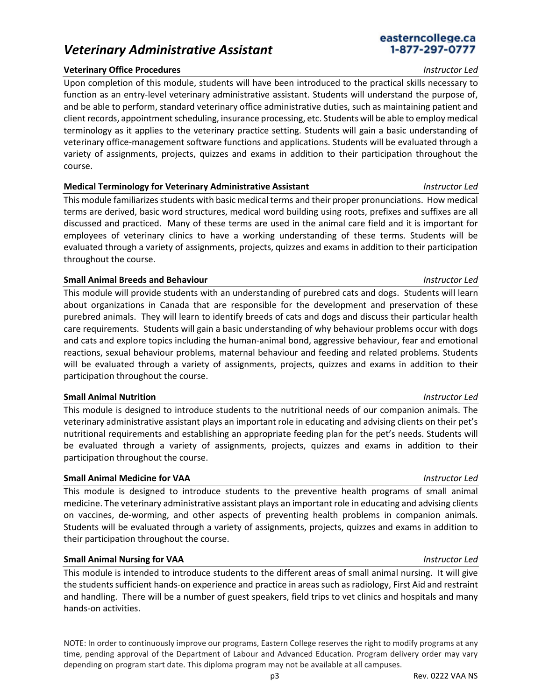### **Veterinary Office Procedures** *Instructor Led*

Upon completion of this module, students will have been introduced to the practical skills necessary to function as an entry-level veterinary administrative assistant. Students will understand the purpose of, and be able to perform, standard veterinary office administrative duties, such as maintaining patient and client records, appointment scheduling, insurance processing, etc. Students will be able to employ medical terminology as it applies to the veterinary practice setting. Students will gain a basic understanding of veterinary office-management software functions and applications. Students will be evaluated through a variety of assignments, projects, quizzes and exams in addition to their participation throughout the course.

### **Medical Terminology for Veterinary Administrative Assistant** *Instructor Led*

This module familiarizes students with basic medical terms and their proper pronunciations. How medical terms are derived, basic word structures, medical word building using roots, prefixes and suffixes are all discussed and practiced. Many of these terms are used in the animal care field and it is important for employees of veterinary clinics to have a working understanding of these terms. Students will be evaluated through a variety of assignments, projects, quizzes and exams in addition to their participation throughout the course.

### **Small Animal Breeds and Behaviour** *Instructor Led*

This module will provide students with an understanding of purebred cats and dogs. Students will learn about organizations in Canada that are responsible for the development and preservation of these purebred animals. They will learn to identify breeds of cats and dogs and discuss their particular health care requirements. Students will gain a basic understanding of why behaviour problems occur with dogs and cats and explore topics including the human-animal bond, aggressive behaviour, fear and emotional reactions, sexual behaviour problems, maternal behaviour and feeding and related problems. Students will be evaluated through a variety of assignments, projects, quizzes and exams in addition to their participation throughout the course.

### **Small Animal Nutrition** *Instructor Led*

This module is designed to introduce students to the nutritional needs of our companion animals. The veterinary administrative assistant plays an important role in educating and advising clients on their pet's nutritional requirements and establishing an appropriate feeding plan for the pet's needs. Students will be evaluated through a variety of assignments, projects, quizzes and exams in addition to their participation throughout the course.

### **Small Animal Medicine for VAA** *Instructor Led*

This module is designed to introduce students to the preventive health programs of small animal medicine. The veterinary administrative assistant plays an important role in educating and advising clients on vaccines, de-worming, and other aspects of preventing health problems in companion animals. Students will be evaluated through a variety of assignments, projects, quizzes and exams in addition to their participation throughout the course.

### **Small Animal Nursing for VAA** *Instructor Led*

This module is intended to introduce students to the different areas of small animal nursing. It will give the students sufficient hands-on experience and practice in areas such as radiology, First Aid and restraint and handling. There will be a number of guest speakers, field trips to vet clinics and hospitals and many hands-on activities.

NOTE: In order to continuously improve our programs, Eastern College reserves the right to modify programs at any time, pending approval of the Department of Labour and Advanced Education. Program delivery order may vary depending on program start date. This diploma program may not be available at all campuses.

# 1-877-297-0777

easterncollege.ca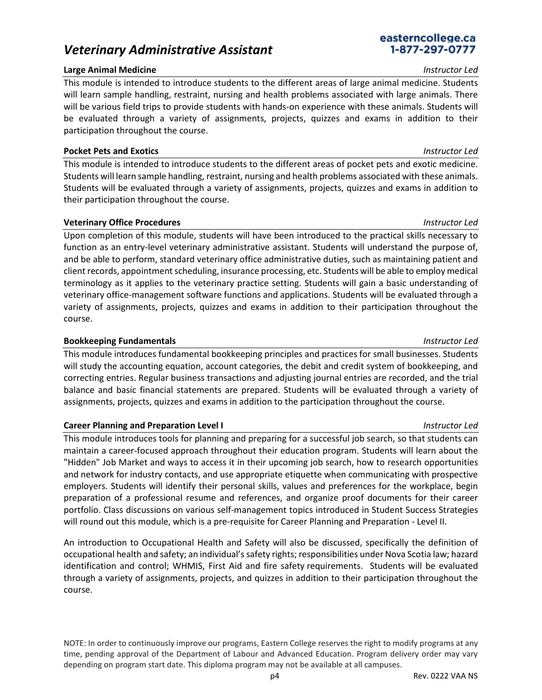### **Large Animal Medicine** *Instructor Led*

This module is intended to introduce students to the different areas of large animal medicine. Students will learn sample handling, restraint, nursing and health problems associated with large animals. There will be various field trips to provide students with hands-on experience with these animals. Students will be evaluated through a variety of assignments, projects, quizzes and exams in addition to their participation throughout the course.

### **Pocket Pets and Exotics** *Instructor Led*

This module is intended to introduce students to the different areas of pocket pets and exotic medicine. Students will learn sample handling, restraint, nursing and health problems associated with these animals. Students will be evaluated through a variety of assignments, projects, quizzes and exams in addition to their participation throughout the course.

### **Veterinary Office Procedures** *Instructor Led*

Upon completion of this module, students will have been introduced to the practical skills necessary to function as an entry-level veterinary administrative assistant. Students will understand the purpose of, and be able to perform, standard veterinary office administrative duties, such as maintaining patient and client records, appointment scheduling, insurance processing, etc. Students will be able to employ medical terminology as it applies to the veterinary practice setting. Students will gain a basic understanding of veterinary office-management software functions and applications. Students will be evaluated through a variety of assignments, projects, quizzes and exams in addition to their participation throughout the course.

### **Bookkeeping Fundamentals** *Instructor Led*

This module introduces fundamental bookkeeping principles and practices for small businesses. Students will study the accounting equation, account categories, the debit and credit system of bookkeeping, and correcting entries. Regular business transactions and adjusting journal entries are recorded, and the trial balance and basic financial statements are prepared. Students will be evaluated through a variety of assignments, projects, quizzes and exams in addition to the participation throughout the course.

### **Career Planning and Preparation Level I** *Instructor Led*

This module introduces tools for planning and preparing for a successful job search, so that students can maintain a career-focused approach throughout their education program. Students will learn about the "Hidden" Job Market and ways to access it in their upcoming job search, how to research opportunities and network for industry contacts, and use appropriate etiquette when communicating with prospective employers. Students will identify their personal skills, values and preferences for the workplace, begin preparation of a professional resume and references, and organize proof documents for their career portfolio. Class discussions on various self-management topics introduced in Student Success Strategies will round out this module, which is a pre-requisite for Career Planning and Preparation - Level II.

An introduction to Occupational Health and Safety will also be discussed, specifically the definition of occupational health and safety; an individual's safety rights; responsibilities under Nova Scotia law; hazard identification and control; WHMIS, First Aid and fire safety requirements. Students will be evaluated through a variety of assignments, projects, and quizzes in addition to their participation throughout the course.

### NOTE: In order to continuously improve our programs, Eastern College reserves the right to modify programs at any time, pending approval of the Department of Labour and Advanced Education. Program delivery order may vary depending on program start date. This diploma program may not be available at all campuses.

easterncollege.ca 1-877-297-0777